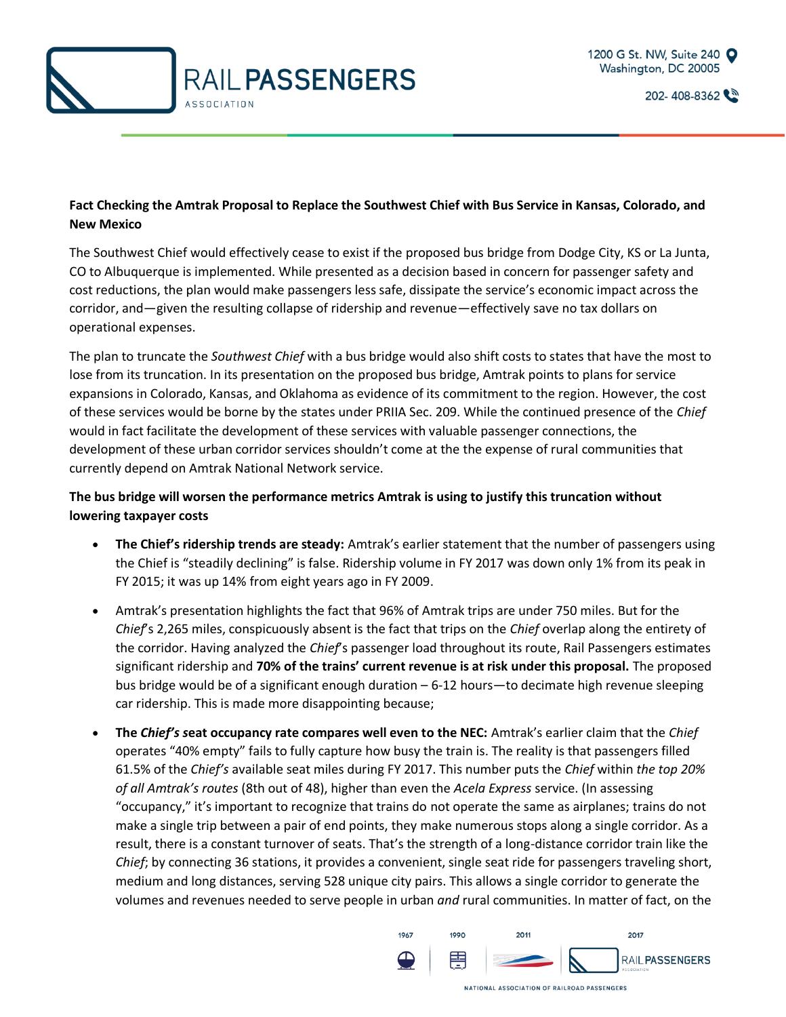

202-408-8362

## **Fact Checking the Amtrak Proposal to Replace the Southwest Chief with Bus Service in Kansas, Colorado, and New Mexico**

The Southwest Chief would effectively cease to exist if the proposed bus bridge from Dodge City, KS or La Junta, CO to Albuquerque is implemented. While presented as a decision based in concern for passenger safety and cost reductions, the plan would make passengers less safe, dissipate the service's economic impact across the corridor, and—given the resulting collapse of ridership and revenue—effectively save no tax dollars on operational expenses.

The plan to truncate the *Southwest Chief* with a bus bridge would also shift costs to states that have the most to lose from its truncation. In its presentation on the proposed bus bridge, Amtrak points to plans for service expansions in Colorado, Kansas, and Oklahoma as evidence of its commitment to the region. However, the cost of these services would be borne by the states under PRIIA Sec. 209. While the continued presence of the *Chief* would in fact facilitate the development of these services with valuable passenger connections, the development of these urban corridor services shouldn't come at the the expense of rural communities that currently depend on Amtrak National Network service.

## **The bus bridge will worsen the performance metrics Amtrak is using to justify this truncation without lowering taxpayer costs**

- **The Chief's ridership trends are steady:** Amtrak's earlier statement that the number of passengers using the Chief is "steadily declining" is false. Ridership volume in FY 2017 was down only 1% from its peak in FY 2015; it was up 14% from eight years ago in FY 2009.
- Amtrak's presentation highlights the fact that 96% of Amtrak trips are under 750 miles. But for the *Chief*'s 2,265 miles, conspicuously absent is the fact that trips on the *Chief* overlap along the entirety of the corridor. Having analyzed the *Chief*'s passenger load throughout its route, Rail Passengers estimates significant ridership and **70% of the trains' current revenue is at risk under this proposal.** The proposed bus bridge would be of a significant enough duration – 6-12 hours—to decimate high revenue sleeping car ridership. This is made more disappointing because;
- **The** *Chief's s***eat occupancy rate compares well even to the NEC:** Amtrak's earlier claim that the *Chief*  operates "40% empty" fails to fully capture how busy the train is. The reality is that passengers filled 61.5% of the *Chief's* available seat miles during FY 2017. This number puts the *Chief* within *the top 20% of all Amtrak's routes* (8th out of 48), higher than even the *Acela Express* service. (In assessing "occupancy," it's important to recognize that trains do not operate the same as airplanes; trains do not make a single trip between a pair of end points, they make numerous stops along a single corridor. As a result, there is a constant turnover of seats. That's the strength of a long-distance corridor train like the *Chief*; by connecting 36 stations, it provides a convenient, single seat ride for passengers traveling short, medium and long distances, serving 528 unique city pairs. This allows a single corridor to generate the volumes and revenues needed to serve people in urban *and* rural communities. In matter of fact, on the

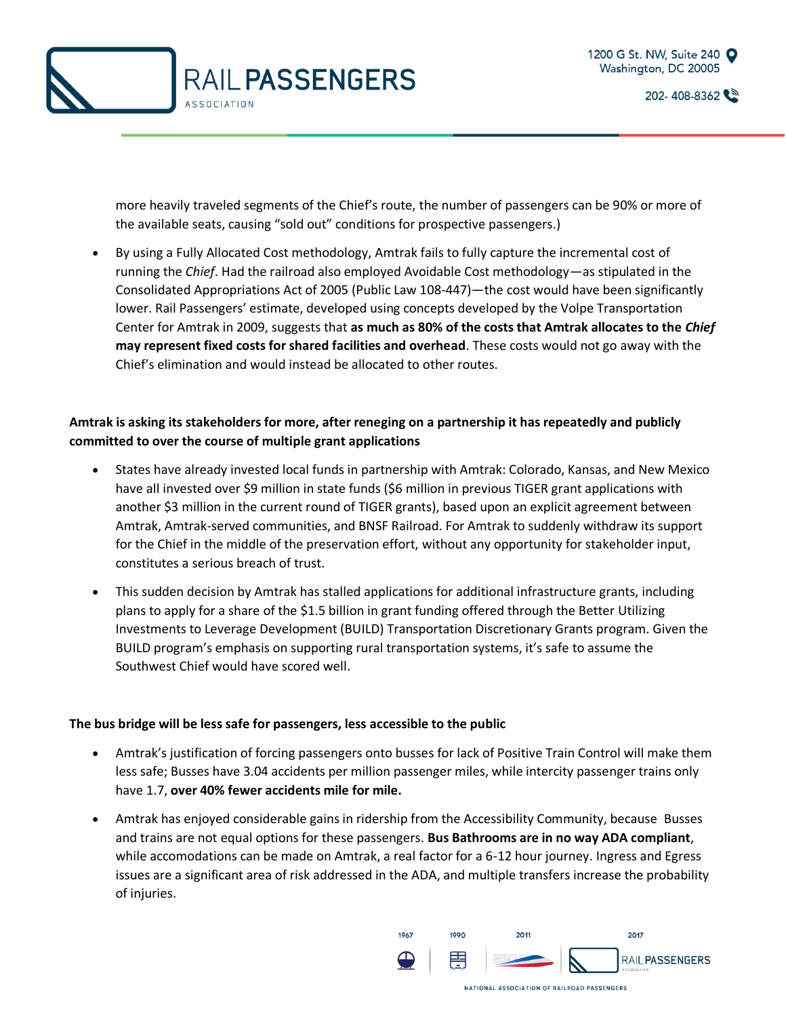



202-408-8362

more heavily traveled segments of the Chief's route, the number of passengers can be 90% or more of the available seats, causing "sold out" conditions for prospective passengers.)

• By using a Fully Allocated Cost methodology, Amtrak fails to fully capture the incremental cost of running the *Chief*. Had the railroad also employed Avoidable Cost methodology—as stipulated in the Consolidated Appropriations Act of 2005 (Public Law 108-447)—the cost would have been significantly lower. Rail Passengers' estimate, developed using concepts developed by the Volpe Transportation Center for Amtrak in 2009, suggests that **as much as 80% of the costs that Amtrak allocates to the** *Chief*  **may represent fixed costs for shared facilities and overhead**. These costs would not go away with the Chief's elimination and would instead be allocated to other routes.

## **Amtrak is asking its stakeholders for more, after reneging on a partnership it has repeatedly and publicly committed to over the course of multiple grant applications**

- States have already invested local funds in partnership with Amtrak: Colorado, Kansas, and New Mexico have all invested over \$9 million in state funds (\$6 million in previous TIGER grant applications with another \$3 million in the current round of TIGER grants), based upon an explicit agreement between Amtrak, Amtrak-served communities, and BNSF Railroad. For Amtrak to suddenly withdraw its support for the Chief in the middle of the preservation effort, without any opportunity for stakeholder input, constitutes a serious breach of trust.
- This sudden decision by Amtrak has stalled applications for additional infrastructure grants, including plans to apply for a share of the \$1.5 billion in grant funding offered through the Better Utilizing Investments to Leverage Development (BUILD) Transportation Discretionary Grants program. Given the BUILD program's emphasis on supporting rural transportation systems, it's safe to assume the Southwest Chief would have scored well.

## **The bus bridge will be less safe for passengers, less accessible to the public**

- Amtrak's justification of forcing passengers onto busses for lack of Positive Train Control will make them less safe; Busses have 3.04 accidents per million passenger miles, while intercity passenger trains only have 1.7, **over 40% fewer accidents mile for mile.**
- Amtrak has enjoyed considerable gains in ridership from the Accessibility Community, because Busses and trains are not equal options for these passengers. **Bus Bathrooms are in no way ADA compliant**, while accomodations can be made on Amtrak, a real factor for a 6-12 hour journey. Ingress and Egress issues are a significant area of risk addressed in the ADA, and multiple transfers increase the probability of injuries.